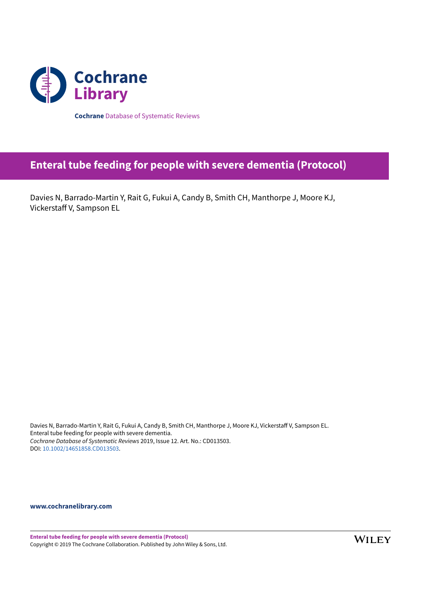

**Cochrane** Database of Systematic Reviews

# **Enteral tube feeding for people with severe dementia (Protocol)**

Davies N, Barrado-Martin Y, Rait G, Fukui A, Candy B, Smith CH, Manthorpe J, Moore KJ, Vickerstaff V, Sampson EL

Davies N, Barrado-Martin Y, Rait G, Fukui A, Candy B, Smith CH, Manthorpe J, Moore KJ, Vickerstaff V, Sampson EL. Enteral tube feeding for people with severe dementia. *Cochrane Database of Systematic Reviews* 2019, Issue 12. Art. No.: CD013503. DOI: [10.1002/14651858.CD013503](https://doi.org/10.1002%2F14651858.CD013503).

**[www.cochranelibrary.com](https://www.cochranelibrary.com)**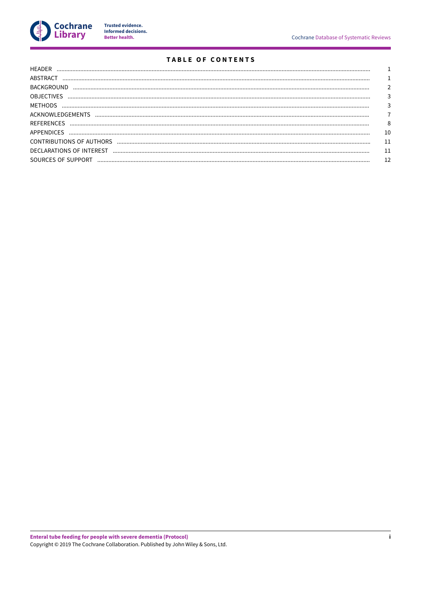

Trusted evidence.<br>Informed decisions.<br>Better health.

# **TABLE OF CONTENTS**

| <b>HFADFR</b>            |    |
|--------------------------|----|
| ABSTRACT                 |    |
| <b>BACKGROUND</b>        |    |
| <b>OBJECTIVES</b>        |    |
| <b>METHODS</b>           |    |
| ACKNOWLEDGEMENTS         |    |
| <b>REFERENCES</b>        | 8  |
| <b>APPENDICES</b>        | 10 |
| CONTRIBUTIONS OF AUTHORS |    |
|                          |    |
| SOURCES OF SUPPORT       |    |
|                          |    |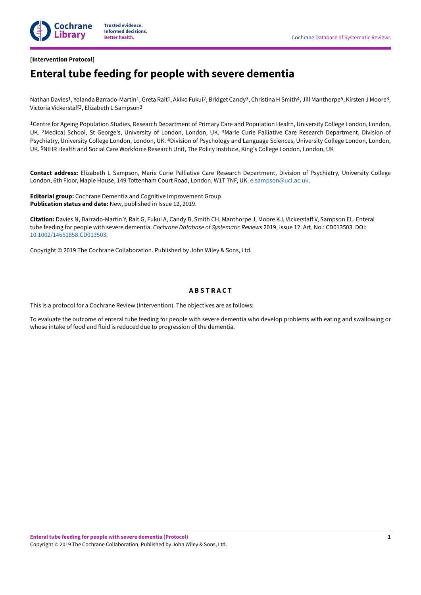

#### <span id="page-2-0"></span>**[Intervention Protocol]**

# **Enteral tube feeding for people with severe dementia**

Nathan Davies<sup>1</sup>, Yolanda Barrado-Martin<sup>1</sup>, Greta Rait<sup>1</sup>, Akiko Fukui<sup>2</sup>, Bridget Candy<sup>3</sup>, Christina H Smith<sup>4</sup>, Jill Manthorpe<sup>5</sup>, Kirsten J Moore<sup>3</sup>, Victoria Vickerstaff<sup>3</sup>, Elizabeth L Sampson<sup>3</sup>

1Centre for Ageing Population Studies, Research Department of Primary Care and Population Health, University College London, London, UK. <sup>2</sup>Medical School, St George's, University of London, London, UK. <sup>3</sup>Marie Curie Palliative Care Research Department, Division of Psychiatry, University College London, London, UK. <sup>4</sup>Division of Psychology and Language Sciences, University College London, London, UK. 5NIHR Health and Social Care Workforce Research Unit, The Policy Institute, King's College London, London, UK

**Contact address:** Elizabeth L Sampson, Marie Curie Palliative Care Research Department, Division of Psychiatry, University College London, 6th Floor, Maple House, 149 Tottenham Court Road, London, W1T 7NF, UK. [e.sampson@ucl.ac.uk](mailto:e.sampson@ucl.ac.uk).

**Editorial group:** Cochrane Dementia and Cognitive Improvement Group **Publication status and date:** New, published in Issue 12, 2019.

Citation: Davies N, Barrado-Martin Y, Rait G, Fukui A, Candy B, Smith CH, Manthorpe J, Moore KJ, Vickerstaff V, Sampson EL. Enteral tube feeding for people with severe dementia. *Cochrane Database of Systematic Reviews* 2019, Issue 12. Art. No.: CD013503. DOI: [10.1002/14651858.CD013503](https://doi.org/10.1002%2F14651858.CD013503).

Copyright © 2019 The Cochrane Collaboration. Published by John Wiley & Sons, Ltd.

# **A B S T R A C T**

<span id="page-2-1"></span>This is a protocol for a Cochrane Review (Intervention). The objectives are as follows:

To evaluate the outcome of enteral tube feeding for people with severe dementia who develop problems with eating and swallowing or whose intake of food and fluid is reduced due to progression of the dementia.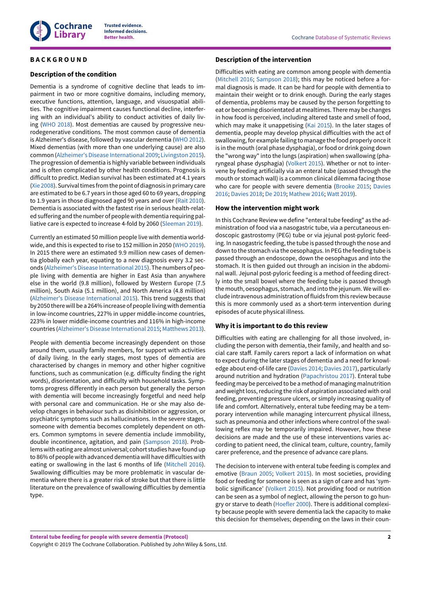

## <span id="page-3-0"></span>**B A C K G R O U N D**

#### **Description of the condition**

Dementia is a syndrome of cognitive decline that leads to impairment in two or more cognitive domains, including memory, executive functions, attention, language, and visuospatial abilities. The cognitive impairment causes functional decline, interfering with an individual's ability to conduct activities of daily living ([WHO 2018](#page-11-1)). Most dementias are caused by progressive neurodegenerative conditions. The most common cause of dementia is Alzheimer's disease, followed by vascular dementia [\(WHO 2012\)](#page-11-2). Mixed dementias (with more than one underlying cause) are also common (Alzheimer's Disease International 2009; [Livingston 2015\)](#page-10-0). The progression of dementia is highly variable between individuals and is often complicated by other health conditions. Prognosis is difficult to predict. Median survival has been estimated at 4.1 years [\(Xie 2008\)](#page-11-3). Survival times from the point of diagnosis in primary care are estimated to be 6.7 years in those aged 60 to 69 years, dropping to 1.9 years in those diagnosed aged 90 years and over (Rait [2010\)](#page-10-1). Dementia is associated with the fastest rise in serious health-related suffering and the number of people with dementia requiring palliative care is expected to increase 4-fold by 2060 [\(Sleeman 2019](#page-11-4)).

Currently an estimated 50 million people live with dementia worldwide, and this is expected to rise to 152 million in 2050 [\(WHO 2019\)](#page-11-5). In 2015 there were an estimated 9.9 million new cases of dementia globally each year, equating to a new diagnosis every 3.2 seconds (Alzheimer's Disease International 2015). The numbers of people living with dementia are higher in East Asia than anywhere else in the world (9.8 million), followed by Western Europe (7.5 million), South Asia (5.1 million), and North America (4.8 million) (Alzheimer's Disease [International](#page-9-2) 2015). This trend suggests that by 2050 there will be a 264% increase of people living with dementia in low-income countries, 227% in upper middle-income countries, 223% in lower middle-income countries and 116% in high-income countries (Alzheimer's Disease [International](#page-9-2) 2015; [Matthews](#page-10-2) 2013).

People with dementia become increasingly dependent on those around them, usually family members, for support with activities of daily living. In the early stages, most types of dementia are characterised by changes in memory and other higher cognitive functions, such as communication (e.g. difficulty finding the right words), disorientation, and difficulty with household tasks. Symptoms progress differently in each person but generally the person with dementia will become increasingly forgetful and need help with personal care and communication. He or she may also develop changes in behaviour such as disinhibition or aggression, or psychiatric symptoms such as hallucinations. In the severe stages, someone with dementia becomes completely dependent on others. Common symptoms in severe dementia include immobility, double incontinence, agitation, and pain [\(Sampson 2018\)](#page-10-3). Problemswith eating are almost universal; cohort studies have found up to 86% of people with advanced dementia will have difficulties with eating or swallowing in the last 6 months of life ([Mitchell](#page-10-4) 2016). Swallowing difficulties may be more problematic in vascular dementia where there is a greater risk of stroke but that there is little literature on the prevalence of swallowing difficulties by dementia type.

#### **Description of the intervention**

Difficulties with eating are common among people with dementia [\(Mitchell](#page-10-4) 2016; [Sampson 2018\)](#page-10-3); this may be noticed before a formal diagnosis is made. It can be hard for people with dementia to maintain their weight or to drink enough. During the early stages of dementia, problems may be caused by the person forgetting to eat or becoming disorientated at mealtimes. There may be changes in how food is perceived, including altered taste and smell of food, which may make it unappetising [\(Kai 2015\)](#page-10-5). In the later stages of dementia, people may develop physical difficulties with the act of swallowing, for example failing to manage the food properly once it is in the mouth (oral phase dysphagia), or food or drink going down the "wrong way" into the lungs (aspiration) when swallowing (pharyngeal phase dysphagia) [\(Volkert 2015](#page-11-6)). Whether or not to intervene by feeding artificially via an enteral tube (passed through the mouth or stomach wall) is a common clinical dilemma facing those who care for people with severe dementia ([Brooke](#page-9-3) 2015; [Davies](#page-9-4) [2016;](#page-9-4) [Davies 2018](#page-9-5); [De 2019;](#page-9-6) [Mathew 2016](#page-10-6); Watt [2019\)](#page-11-7).

#### **How the intervention might work**

In this Cochrane Review we define "enteral tube feeding" as the administration of food via a nasogastric tube, via a percutaneous endoscopic gastrostomy (PEG) tube or via jejunal post-pyloric feeding. In nasogastric feeding, the tube is passed through the nose and down to the stomach via the oesophagus. In PEG the feeding tube is passed through an endoscope, down the oesophagus and into the stomach. It is then guided out through an incision in the abdominal wall. Jejunal post-pyloric feeding is a method of feeding directly into the small bowel where the feeding tube is passed through the mouth, oesophagus, stomach, and into the jejunum. We will exclude intravenous administration of fluids from this review because this is more commonly used as a short-term intervention during episodes of acute physical illness.

#### **Why it is important to do this review**

Difficulties with eating are challenging for all those involved, including the person with dementia, their family, and health and social care staff. Family carers report a lack of information on what to expect during the later stages of dementia and a need for knowledge about end-of-life care [\(Davies 2014](#page-9-7); [Davies 2017\)](#page-9-8), particularly around nutrition and hydration [\(Papachristou 2017\)](#page-10-7). Enteral tube feeding may be perceived to be a method of managing malnutrition and weight loss, reducing the risk of aspiration associated with oral feeding, preventing pressure ulcers, or simply increasing quality of life and comfort. Alternatively, enteral tube feeding may be a temporary intervention while managing intercurrent physical illness, such as pneumonia and other infections where control of the swallowing reflex may be temporarily impaired. However, how these decisions are made and the use of these interventions varies according to patient need, the clinical team, culture, country, family carer preference, and the presence of advance care plans.

The decision to intervene with enteral tube feeding is complex and emotive [\(Braun](#page-9-9) 2005; [Volkert 2015\)](#page-11-6). In most societies, providing food or feeding for someone is seen as a sign of care and has 'symbolic significance' [\(Volkert 2015\)](#page-11-6). Not providing food or nutrition can be seen as a symbol of neglect, allowing the person to go hungry or starve to death [\(Hoefler 2000\)](#page-10-8). There is additional complexity because people with severe dementia lack the capacity to make this decision for themselves; depending on the laws in their coun-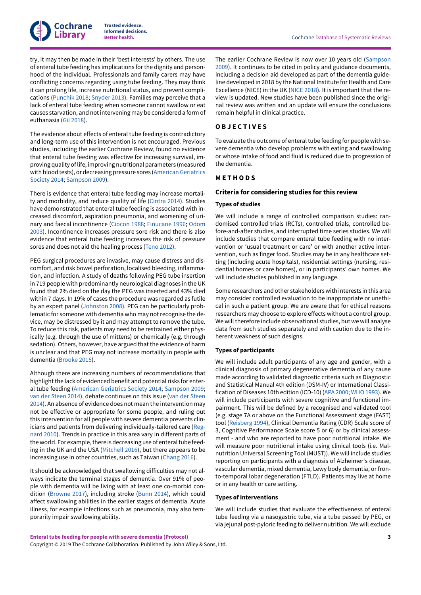

try, it may then be made in their 'best interests' by others. The use of enteral tube feeding has implications for the dignity and personhood of the individual. Professionals and family carers may have conflicting concerns regarding using tube feeding. They may think it can prolong life, increase nutritional status, and prevent complications ([Punchik 2018](#page-10-9); [Snyder 2013\)](#page-11-8). Families may perceive that a lack of enteral tube feeding when someone cannot swallow or eat causes starvation, and notintervening may be considered a form of euthanasia ([Gil 2018\)](#page-9-10).

The evidence about effects of enteral tube feeding is contradictory and long-term use of this intervention is not encouraged. Previous studies, including the earlier Cochrane Review, found no evidence that enteral tube feeding was effective for increasing survival, improving quality of life, improving nutritional parameters (measured with blood tests), or decreasing pressure sores [\(American Geriatrics](#page-9-11) [Society 2014;](#page-9-11) [Sampson 2009](#page-11-9)).

There is evidence that enteral tube feeding may increase mortality and morbidity, and reduce quality of life ([Cintra 2014\)](#page-9-12). Studies have demonstrated that enteral tube feeding is associated with increased discomfort, aspiration pneumonia, and worsening of urinary and faecal incontinence [\(Ciocon 1988;](#page-9-13) [Finucane 1996;](#page-9-14) [Odom](#page-10-10) [2003](#page-10-10)). Incontinence increases pressure sore risk and there is also evidence that enteral tube feeding increases the risk of pressure sores and does not aid the healing process ([Teno](#page-11-10) 2012).

PEG surgical procedures are invasive, may cause distress and discomfort, and risk bowel perforation, localised bleeding, inflammation, and infection. A study of deaths following PEG tube insertion in 719 people with predominantly neurological diagnoses in the UK found that 2% died on the day the PEG was inserted and 43% died within 7 days. In 19% of cases the procedure was regarded as futile by an expert panel [\(Johnston 2008\)](#page-10-11). PEG can be particularly problematic for someone with dementia who may not recognise the device, may be distressed by it and may attempt to remove the tube. To reduce this risk, patients may need to be restrained either physically (e.g. through the use of mittens) or chemically (e.g. through sedation). Others, however, have argued that the evidence of harm is unclear and that PEG may not increase mortality in people with dementia [\(Brooke](#page-9-3) 2015).

Although there are increasing numbers of recommendations that highlight the lack of evidenced benefit and potential risks for enteral tube feeding [\(American Geriatrics Society 2014](#page-9-11); [Sampson 2009](#page-11-9); van der [Steen](#page-11-11) 2014), debate continues on this issue (van der [Steen](#page-11-11) [2014](#page-11-11)). An absence of evidence does not mean the intervention may not be effective or appropriate for some people, and ruling out this intervention for all people with severe dementia prevents clinicians and patients from delivering individually-tailored care ([Reg](#page-10-12)[nard 2010](#page-10-12)). Trends in practice in this area vary in different parts of the world. For example, there is decreasing use of enteral tube feeding in the UK and the USA ([Mitchell](#page-10-4) 2016), but there appears to be increasing use in other countries, such as Taiwan [\(Chang 2016\)](#page-9-15).

It should be acknowledged that swallowing difficulties may not always indicate the terminal stages of dementia. Over 91% of people with dementia will be living with at least one co-morbid condition [\(Browne](#page-9-16) 2017), including stroke [\(Bunn 2014](#page-9-17)), which could affect swallowing abilities in the earlier stages of dementia. Acute illness, for example infections such as pneumonia, may also temporarily impair swallowing ability.

The earlier Cochrane Review is now over 10 years old [\(Sampson](#page-11-9) [2009\)](#page-11-9). It continues to be cited in policy and guidance documents, including a decision aid developed as part of the dementia guideline developed in 2018 by the National Institute for Health and Care Excellence (NICE) in the UK ([NICE 2018\)](#page-10-13). It is important that the review is updated. New studies have been published since the original review was written and an update will ensure the conclusions remain helpful in clinical practice.

## <span id="page-4-0"></span>**O B J E C T I V E S**

To evaluate the outcome of enteral tube feeding for people with severe dementia who develop problems with eating and swallowing or whose intake of food and fluid is reduced due to progression of the dementia.

#### <span id="page-4-1"></span>**M E T H O D S**

#### **Criteria for considering studies for this review**

#### **Types of studies**

We will include a range of controlled comparison studies: randomised controlled trials (RCTs), controlled trials, controlled before-and-after studies, and interrupted time series studies. We will include studies that compare enteral tube feeding with no intervention or 'usual treatment or care' or with another active intervention, such as finger food. Studies may be in any healthcare setting (including acute hospitals), residential settings (nursing, residential homes or care homes), or in participants' own homes. We will include studies published in any language.

Some researchers and other stakeholders with interests in this area may consider controlled evaluation to be inappropriate or unethical in such a patient group. We are aware that for ethical reasons researchers may choose to explore effects without a control group. We will therefore include observational studies, but we will analyse data from such studies separately and with caution due to the inherent weakness of such designs.

#### **Types of participants**

We will include adult participants of any age and gender, with a clinical diagnosis of primary degenerative dementia of any cause made according to validated diagnostic criteria such as Diagnostic and Statistical Manual 4th edition (DSM-IV) or International Classification of Diseases 10th edition (ICD-10) (APA [2000;](#page-9-18) [WHO 1993\)](#page-11-12). We will include participants with severe cognitive and functional impairment. This will be defined by a recognised and validated tool (e.g. stage 7A or above on the Functional Assessment stage (FAST) tool [\(Reisberg 1994\)](#page-10-14), Clinical Dementia Rating (CDR) Scale score of 3, Cognitive Performance Scale score 5 or 6) or by clinical assessment - and who are reported to have poor nutritional intake. We will measure poor nutritional intake using clinical tools (i.e. Malnutrition Universal Screening Tool (MUST)). We will include studies reporting on participants with a diagnosis of Alzheimer's disease, vascular dementia, mixed dementia, Lewy body dementia, or fronto-temporal lobar degeneration (FTLD). Patients may live at home or in any health or care setting.

## **Types of interventions**

We will include studies that evaluate the effectiveness of enteral tube feeding via a nasogastric tube, via a tube passed by PEG, or via jejunal post-pyloric feeding to deliver nutrition. We will exclude

**Enteral tube feeding for people with severe dementia (Protocol)** Copyright © 2019 The Cochrane Collaboration. Published by John Wiley & Sons, Ltd.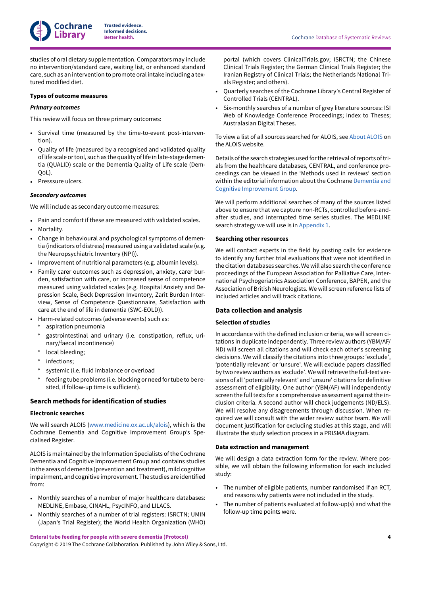studies of oral dietary supplementation. Comparators may include no intervention/standard care, waiting list, or enhanced standard care, such as an intervention to promote oral intake including a textured modified diet.

#### **Types of outcome measures**

**Cochrane Library**

## *Primary outcomes*

This review will focus on three primary outcomes:

- Survival time (measured by the time-to-event post-intervention).
- Quality of life (measured by a recognised and validated quality of life scale or tool, such as the quality of life in late-stage dementia (QUALID) scale or the Dementia Quality of Life scale (Dem-QoL).
- Presssure ulcers.

## *Secondary outcomes*

We will include as secondary outcome measures:

- Pain and comfort if these are measured with validated scales.
- Mortality.
- Change in behavioural and psychological symptoms of dementia (indicators of distress) measured using a validated scale (e.g. the Neuropsychiatric Inventory (NPI)).
- Improvement of nutritional parameters (e.g. albumin levels).
- Family carer outcomes such as depression, anxiety, carer burden, satisfaction with care, or increased sense of competence measured using validated scales (e.g. Hospital Anxiety and Depression Scale, Beck Depression Inventory, Zarit Burden Interview, Sense of Competence Questionnaire, Satisfaction with care at the end of life in dementia (SWC-EOLD)).
- Harm-related outcomes (adverse events) such as:
	- \* aspiration pneumonia
	- gastrointestinal and urinary (i.e. constipation, reflux, urinary/faecal incontinence)
	- local bleeding;
	- infections:
	- systemic (i.e. fluid imbalance or overload
	- feeding tube problems (i.e. blocking or need for tube to be resited, if follow-up time is sufficient).

## **Search methods for identification of studies**

## **Electronic searches**

We will search ALOIS ([www.medicine.ox.ac.uk/alois](http://www.medicine.ox.ac.uk/alois)), which is the Cochrane Dementia and Cognitive Improvement Group's Specialised Register.

ALOIS is maintained by the Information Specialists of the Cochrane Dementia and Cognitive Improvement Group and contains studies in the areas of dementia (prevention and treatment), mild cognitive impairment, and cognitive improvement. The studies are identified from:

- Monthly searches of a number of major healthcare databases: MEDLINE, Embase, CINAHL, PsycINFO, and LILACS.
- Monthly searches of a number of trial registers: ISRCTN; UMIN (Japan's Trial Register); the World Health Organization (WHO)

**Enteral tube feeding for people with severe dementia (Protocol)** Copyright © 2019 The Cochrane Collaboration. Published by John Wiley & Sons, Ltd.

portal (which covers ClinicalTrials.gov; ISRCTN; the Chinese Clinical Trials Register; the German Clinical Trials Register; the Iranian Registry of Clinical Trials; the Netherlands National Trials Register; and others).

- Quarterly searches of the Cochrane Library's Central Register of Controlled Trials (CENTRAL).
- Six-monthly searches of a number of grey literature sources: ISI Web of Knowledge Conference Proceedings; Index to Theses; Australasian Digital Theses.

To view a list of all sources searched for ALOIS, see [About](http://www.medicine.ox.ac.uk/alois/content/about-alois) ALOIS on the ALOIS website.

Details of the search strategies used for the retrieval of reports of trials from the healthcare databases, CENTRAL, and conference proceedings can be viewed in the 'Methods used in reviews' section within the editorial information about the Cochrane [Dementia and](http://mrw.interscience.wiley.com/cochrane/clabout/articles/DEMENTIA/frame.html) Cognitive [Improvement](http://mrw.interscience.wiley.com/cochrane/clabout/articles/DEMENTIA/frame.html) Group.

We will perform additional searches of many of the sources listed above to ensure that we capture non-RCTs, controlled before-andafter studies, and interrupted time series studies. The MEDLINE search strategy we will use is in [Appendix 1.](#page-11-13)

#### **Searching other resources**

We will contact experts in the field by posting calls for evidence to identify any further trial evaluations that were not identified in the citation databases searches. We will also search the conference proceedings of the European Association for Palliative Care, International Psychogeriatrics Association Conference, BAPEN, and the Association of British Neurologists. We will screen reference lists of included articles and will track citations.

## **Data collection and analysis**

#### **Selection of studies**

In accordance with the defined inclusion criteria, we will screen citations in duplicate independently. Three review authors (YBM/AF/ ND) will screen all citations and will check each other's screening decisions. We will classify the citations into three groups: 'exclude', 'potentially relevant' or 'unsure'. We will exclude papers classified by two review authors as 'exclude'. We will retrieve the full-text versions of all 'potentially relevant' and 'unsure' citations for definitive assessment of eligibility. One author (YBM/AF) will independently screen the full texts for a comprehensive assessment against the inclusion criteria. A second author will check judgements (ND/ELS). We will resolve any disagreements through discussion. When required we will consult with the wider review author team. We will document justification for excluding studies at this stage, and will illustrate the study selection process in a PRISMA diagram.

#### **Data extraction and management**

We will design a data extraction form for the review. Where possible, we will obtain the following information for each included study:

- The number of eligible patients, number randomised if an RCT, and reasons why patients were not included in the study.
- The number of patients evaluated at follow-up(s) and what the follow-up time points were.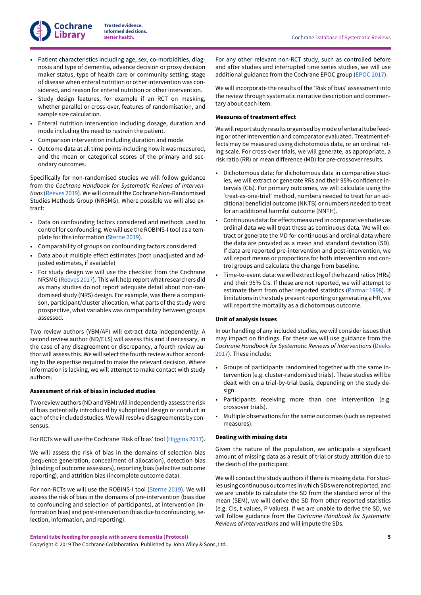**Cochrane Library**

- Patient characteristics including age, sex, co-morbidities, diagnosis and type of dementia, advance decision or proxy decision maker status, type of health care or community setting, stage of disease when enteral nutrition or otherintervention was considered, and reason for enteral nutrition or other intervention.
- Study design features, for example if an RCT on masking, whether parallel or cross-over, features of randomisation, and sample size calculation.
- Enteral nutrition intervention including dosage, duration and mode including the need to restrain the patient.
- Comparison intervention including duration and mode.
- Outcome data at all time points including how it was measured, and the mean or categorical scores of the primary and secondary outcomes.

Specifically for non-randomised studies we will follow guidance from the *Cochrane Handbook for Systematic Reviews of Interven-*tions ([Reeves](#page-10-15) 2019). We will consult the Cochrane Non-Randomised Studies Methods Group (NRSMG). Where possible we will also extract:

- Data on confounding factors considered and methods used to control for confounding. We will use the ROBINS-I tool as a template for this information [\(Sterne](#page-11-14) 2019).
- Comparability of groups on confounding factors considered.
- Data about multiple effect estimates (both unadjusted and adjusted estimates, if available)
- For study design we will use the checklist from the Cochrane NRSMG ([Reeves](#page-10-16) 2017). This will help report what researchers did as many studies do not report adequate detail about non-randomised study (NRS) design. For example, was there a comparison, participant/cluster allocation, what parts of the study were prospective, what variables was comparability between groups assessed.

Two review authors (YBM/AF) will extract data independently. A second review author (ND/ELS) will assess this and if necessary, in the case of any disagreement or discrepancy, a fourth review author will assess this. We will select the fourth review author according to the expertise required to make the relevant decision. Where information is lacking, we will attempt to make contact with study authors.

## **Assessment of risk of bias in included studies**

Two review authors (ND and YBM) will independently assess the risk of bias potentially introduced by suboptimal design or conduct in each of the included studies. We will resolve disagreements by consensus.

For RCTs we will use the Cochrane 'Risk of bias' tool ([Higgins 2017\)](#page-10-17).

We will assess the risk of bias in the domains of selection bias (sequence generation, concealment of allocation), detection bias (blinding of outcome assessors), reporting bias (selective outcome reporting), and attrition bias (incomplete outcome data).

For non-RCTs we will use the ROBINS-I tool [\(Sterne](#page-11-14) 2019). We will assess the risk of bias in the domains of pre-intervention (bias due to confounding and selection of participants), at intervention (information bias) and post-intervention (bias due to confounding, selection, information, and reporting).

For any other relevant non-RCT study, such as controlled before and after studies and interrupted time series studies, we will use additional guidance from the Cochrane EPOC group ([EPOC 2017\)](#page-9-19).

We will incorporate the results of the 'Risk of bias' assessment into the review through systematic narrative description and commentary about each item.

## **Measures of treatment effect**

We will report study results organised by mode of enteral tube feeding or other intervention and comparator evaluated. Treatment effects may be measured using dichotomous data, or an ordinal rating scale. For cross-over trials, we will generate, as appropriate, a risk ratio (RR) or mean difference (MD) for pre-crossover results.

- Dichotomous data: for dichotomous data in comparative studies, we will extract or generate RRs and their 95% confidence intervals (CIs). For primary outcomes, we will calculate using the 'treat-as-one-trial' method, numbers needed to treat for an additional beneficial outcome (NNTB) or numbers needed to treat for an additional harmful outcome (NNTH).
- Continuous data: for effects measured in comparative studies as ordinal data we will treat these as continuous data. We will extract or generate the MD for continuous and ordinal data where the data are provided as a mean and standard deviation (SD). If data are reported pre-intervention and post-intervention, we will report means or proportions for both intervention and control groups and calculate the change from baseline.
- Time-to-event data: we will extract log of the hazard ratios (HRs) and their 95% CIs. If these are not reported, we will attempt to estimate them from other reported statistics ([Parmar 1998](#page-10-18)). If limitations in the study prevent reporting or generating a HR, we will report the mortality as a dichotomous outcome.

## **Unit of analysis issues**

In our handling of any included studies, we will considerissues that may impact on findings. For these we will use guidance from the *Cochrane Handbook for Systematic Reviews of Interventions* [\(Deeks](#page-9-20) [2017\)](#page-9-20). These include:

- Groups of participants randomised together with the same intervention (e.g. cluster-randomised trials). These studies will be dealt with on a trial-by-trial basis, depending on the study design.
- Participants receiving more than one intervention (e.g. crossover trials).
- Multiple observations for the same outcomes (such as repeated measures).

## **Dealing with missing data**

Given the nature of the population, we anticipate a significant amount of missing data as a result of trial or study attrition due to the death of the participant.

We will contact the study authors if there is missing data. For studies using continuous outcomes in which SDs were not reported, and we are unable to calculate the SD from the standard error of the mean (SEM), we will derive the SD from other reported statistics (e.g. CIs, t values, P values). If we are unable to derive the SD, we will follow guidance from the *Cochrane Handbook for Systematic Reviews of Interventions* and will impute the SDs.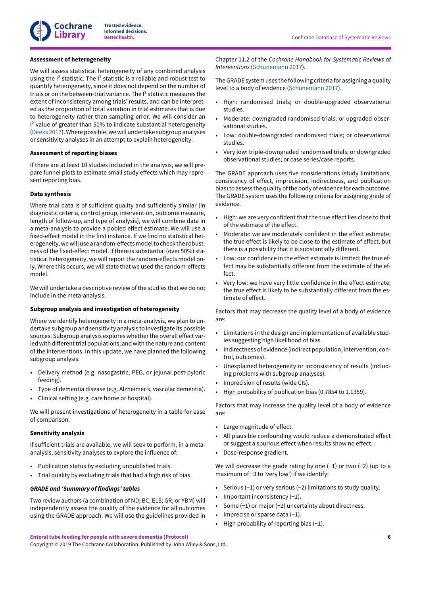

#### **Assessment of heterogeneity**

**Cochrane Library**

We will assess statistical heterogeneity of any combined analysis using the  $I^2$  statistic. The  $I^2$  statistic is a reliable and robust test to quantify heterogeneity, since it does not depend on the number of trials or on the between-trial variance. The I<sup>2</sup> statistic measures the extent of inconsistency among trials' results, and can be interpreted as the proportion of total variation in trial estimates that is due to heterogeneity rather than sampling error. We will consider an  $I<sup>2</sup>$  value of greater than 50% to indicate substantial heterogeneity [\(Deeks 2017](#page-9-20)).Where possible, we will undertake subgroup analyses or sensitivity analyses in an attempt to explain heterogeneity.

## **Assessment of reporting biases**

If there are at least 10 studies included in the analysis, we will prepare funnel plots to estimate small study effects which may represent reporting bias.

#### **Data synthesis**

Where trial data is of sufficient quality and sufficiently similar (in diagnostic criteria, control group, intervention, outcome measure, length of follow-up, and type of analysis), we will combine data in a meta-analysis to provide a pooled effect estimate. We will use a fixed-effect model in the first instance. If we find no statistical heterogeneity, we will use a random-effects model to check the robustness of the fixed-effect model. If there is substantial (over 50%) statistical heterogeneity, we will report the random-effects model only. Where this occurs, we will state that we used the random-effects model.

We will undertake a descriptive review of the studies that we do not include in the meta-analysis.

# **Subgroup analysis and investigation of heterogeneity**

Where we identify heterogeneity in a meta-analysis, we plan to undertake subgroup and sensitivity analysis to investigate its possible sources. Subgroup analysis explores whether the overall effect varied with different trial populations, and with the nature and content of the interventions. In this update, we have planned the following subgroup analysis:

- Delivery method (e.g. nasogastric, PEG, or jejunal post-pyloric feeding).
- Type of dementia disease (e.g. Alzheimer's, vascular dementia).
- Clinical setting (e.g. care home or hospital).

We will present investigations of heterogeneity in a table for ease of comparison.

#### **Sensitivity analysis**

If sufficient trials are available, we will seek to perform, in a metaanalysis, sensitivity analyses to explore the influence of:

- Publication status by excluding unpublished trials.
- Trial quality by excluding trials that had a high risk of bias.

#### *GRADE and 'Summary of findings' tables*

Two review authors (a combination of ND; BC; ELS; GR; or YBM) will independently assess the quality of the evidence for all outcomes using the GRADE approach. We will use the guidelines provided in

Chapter 11.2 of the *Cochrane Handbook for Systematic Reviews of Interventions* ([Schünemann 2017](#page-10-19)).

TheGRADE system uses the following criteria for assigning a quality level to a body of evidence ([Schünemann 2017](#page-10-19)).

- High: randomised trials; or double-upgraded observational studies.
- Moderate: downgraded randomised trials; or upgraded observational studies.
- Low: double-downgraded randomised trials; or observational studies.
- Very low: triple-downgraded randomised trials; or downgraded observational studies; or case series/case reports.

The GRADE approach uses five considerations (study limitations, consistency of effect, imprecision, indirectness, and publication bias) to assess the quality of the body of evidence for each outcome. The GRADE system uses the following criteria for assigning grade of evidence.

- High: we are very confident that the true effect lies close to that of the estimate of the effect.
- Moderate: we are moderately confident in the effect estimate; the true effect is likely to be close to the estimate of effect, but there is a possibility that it is substantially different.
- Low: our confidence in the effect estimate is limited; the true effect may be substantially different from the estimate of the effect.
- Very low: we have very little confidence in the effect estimate; the true effect is likely to be substantially different from the estimate of effect.

Factors that may decrease the quality level of a body of evidence are:

- Limitations in the design and implementation of available studies suggesting high likelihood of bias.
- Indirectness of evidence (indirect population, intervention, control, outcomes).
- Unexplained heterogeneity or inconsistency of results (including problems with subgroup analyses).
- Imprecision of results (wide CIs).
- High probability of publication bias (0.7854 to 1.1359).

Factors that may increase the quality level of a body of evidence are:

- Large magnitude of effect.
- All plausible confounding would reduce a demonstrated effect or suggest a spurious effect when results show no effect.
- Dose-response gradient.

We will decrease the grade rating by one (−1) or two (−2) (up to a maximum of −3 to 'very low') if we identify:

- Serious (−1) or very serious (−2) limitations to study quality.
- Important inconsistency (−1).
	- Some (−1) or major (−2) uncertainty about directness.
- Imprecise or sparse data (−1).
- High probability of reporting bias (−1).

Copyright © 2019 The Cochrane Collaboration. Published by John Wiley & Sons, Ltd.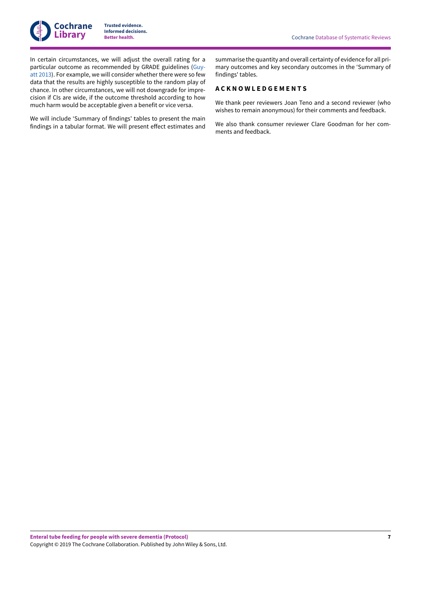In certain circumstances, we will adjust the overall rating for a particular outcome as recommended by GRADE guidelines [\(Guy](#page-10-20)[att 2013\)](#page-10-20). For example, we will consider whether there were so few data that the results are highly susceptible to the random play of chance. In other circumstances, we will not downgrade for imprecision if CIs are wide, if the outcome threshold according to how much harm would be acceptable given a benefit or vice versa.

We will include 'Summary of findings' tables to present the main findings in a tabular format. We will present effect estimates and

summarise the quantity and overall certainty of evidence for all primary outcomes and key secondary outcomes in the 'Summary of findings' tables.

# <span id="page-8-0"></span>**A C K N O W L E D G E M E N T S**

We thank peer reviewers Joan Teno and a second reviewer (who wishes to remain anonymous) for their comments and feedback.

We also thank consumer reviewer Clare Goodman for her comments and feedback.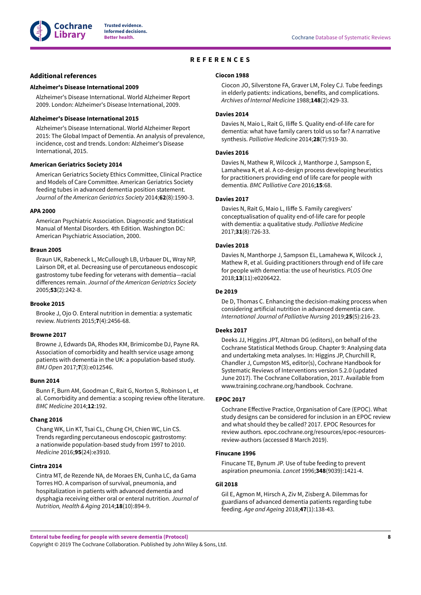

# **REFERENCES**

## <span id="page-9-0"></span>**Additional references**

#### <span id="page-9-1"></span>**Alzheimer's Disease International 2009**

Alzheimer's Disease International. World Alzheimer Report 2009. London: Alzheimer's Disease International, 2009.

## <span id="page-9-2"></span>**Alzheimer's Disease International 2015**

Alzheimer's Disease International. World Alzheimer Report 2015: The Global Impact of Dementia. An analysis of prevalence, incidence, cost and trends. London: Alzheimer's Disease International, 2015.

#### <span id="page-9-11"></span>**American Geriatrics Society 2014**

American Geriatrics Society Ethics Committee, Clinical Practice and Models of Care Committee. American Geriatrics Society feeding tubes in advanced dementia position statement. *Journal of the American Geriatrics Society* 2014;**62**(8):1590-3.

#### <span id="page-9-18"></span>**APA 2000**

American Psychiatric Association. Diagnostic and Statistical Manual of Mental Disorders. 4th Edition. Washington DC: American Psychiatric Association, 2000.

#### <span id="page-9-9"></span>**Braun 2005**

Braun UK, Rabeneck L, McCullough LB, Urbauer DL, Wray NP, Lairson DR, et al. Decreasing use of percutaneous endoscopic gastrostomy tube feeding for veterans with dementia—racial di(erences remain. *Journal of the American Geriatrics Society* 2005;**53**(2):242-8.

#### <span id="page-9-3"></span>**Brooke 2015**

Brooke J, Ojo O. Enteral nutrition in dementia: a systematic review. *Nutrients* 2015;**7**(4):2456-68.

#### <span id="page-9-16"></span>**Browne 2017**

Browne J, Edwards DA, Rhodes KM, Brimicombe DJ, Payne RA. Association of comorbidity and health service usage among patients with dementia in the UK: a population-based study. *BMJ Open* 2017;**7**(3):e012546.

#### <span id="page-9-17"></span>**Bunn 2014**

Bunn F, Burn AM, Goodman C, Rait G, Norton S, Robinson L, et al. Comorbidity and dementia: a scoping review ofthe literature. *BMC Medicine* 2014;**12**:192.

#### <span id="page-9-15"></span>**Chang 2016**

Chang WK, Lin KT, Tsai CL, Chung CH, Chien WC, Lin CS. Trends regarding percutaneous endoscopic gastrostomy: a nationwide population-based study from 1997 to 2010. *Medicine* 2016;**95**(24):e3910.

#### <span id="page-9-12"></span>**Cintra 2014**

Cintra MT, de Rezende NA, de Moraes EN, Cunha LC, da Gama Torres HO. A comparison of survival, pneumonia, and hospitalization in patients with advanced dementia and dysphagia receiving either oral or enteral nutrition. *Journal of Nutrition, Health & Aging* 2014;**18**(10):894-9.

## <span id="page-9-13"></span>**Ciocon 1988**

Ciocon JO, Silverstone FA, Graver LM, Foley CJ. Tube feedings in elderly patients: indications, benefits, and complications. *Archives of Internal Medicine* 1988;**148**(2):429-33.

#### <span id="page-9-7"></span>**Davies 2014**

Davies N, Maio L, Rait G, Iliffe S. Quality end-of-life care for dementia: what have family carers told us so far? A narrative synthesis. *Palliative Medicine* 2014;**28**(7):919-30.

#### <span id="page-9-4"></span>**Davies 2016**

Davies N, Mathew R, Wilcock J, Manthorpe J, Sampson E, Lamahewa K, et al. A co-design process developing heuristics for practitioners providing end of life care for people with dementia. *BMC Palliative Care* 2016;**15**:68.

## <span id="page-9-8"></span>**Davies 2017**

Davies N, Rait G, Maio L, Iliffe S. Family caregivers' conceptualisation of quality end-of-life care for people with dementia: a qualitative study. *Palliative Medicine* 2017;**31**(8):726-33.

#### <span id="page-9-5"></span>**Davies 2018**

Davies N, Manthorpe J, Sampson EL, Lamahewa K, Wilcock J, Mathew R, et al. Guiding practitioners through end of life care for people with dementia: the use of heuristics. *PLOS One* 2018;**13**(11):e0206422.

## <span id="page-9-6"></span>**De 2019**

De D, Thomas C. Enhancing the decision-making process when considering artificial nutrition in advanced dementia care. *International Journal of Palliative Nursing* 2019;**25**(5):216-23.

#### <span id="page-9-20"></span>**Deeks 2017**

Deeks JJ, Higgins JPT, Altman DG (editors), on behalf of the Cochrane Statistical Methods Group. Chapter 9: Analysing data and undertaking meta analyses. In: Higgins JP, Churchill R, Chandler J, Cumpston MS, editor(s), Cochrane Handbook for Systematic Reviews of Interventions version 5.2.0 (updated June 2017). The Cochrane Collaboration, 2017. Available from www.training.cochrane.org/handbook. Cochrane.

## <span id="page-9-19"></span>**EPOC 2017**

Cochrane Effective Practice, Organisation of Care (EPOC). What study designs can be considered for inclusion in an EPOC review and what should they be called? 2017. EPOC Resources for review authors. epoc.cochrane.org/resources/epoc-resourcesreview-authors (accessed 8 March 2019).

#### <span id="page-9-14"></span>**Finucane 1996**

Finucane TE, Bynum JP. Use of tube feeding to prevent aspiration pneumonia. *Lancet* 1996;**348**(9039):1421-4.

## <span id="page-9-10"></span>**Gil 2018**

Gil E, Agmon M, Hirsch A, Ziv M, Zisberg A. Dilemmas for guardians of advanced dementia patients regarding tube feeding. *Age and Ageing* 2018;**47**(1):138-43.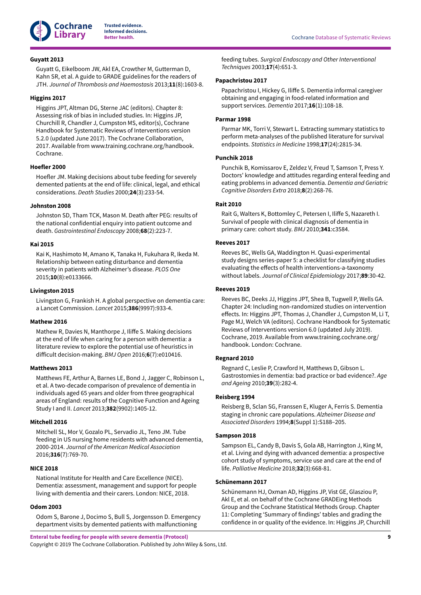

## <span id="page-10-20"></span>**Guyatt 2013**

Guyatt G, Eikelboom JW, Akl EA, Crowther M, Gutterman D, Kahn SR, et al. A guide to GRADE guidelines for the readers of JTH. *Journal of Thrombosis and Haemostasis* 2013;**11**(8):1603-8.

## <span id="page-10-17"></span>**Higgins 2017**

Higgins JPT, Altman DG, Sterne JAC (editors). Chapter 8: Assessing risk of bias in included studies. In: Higgins JP, Churchill R, Chandler J, Cumpston MS, editor(s), Cochrane Handbook for Systematic Reviews of Interventions version 5.2.0 (updated June 2017). The Cochrane Collaboration, 2017. Available from www.training.cochrane.org/handbook. Cochrane.

## <span id="page-10-8"></span>**Hoefler 2000**

Hoefler JM. Making decisions about tube feeding for severely demented patients at the end of life: clinical, legal, and ethical considerations. *Death Studies* 2000;**24**(3):233-54.

## <span id="page-10-11"></span>**Johnston 2008**

Johnston SD, Tham TCK, Mason M. Death after PEG: results of the national confidential enquiry into patient outcome and death. *Gastrointestinal Endoscopy* 2008;**68**(2):223-7.

## <span id="page-10-5"></span>**Kai 2015**

Kai K, Hashimoto M, Amano K, Tanaka H, Fukuhara R, Ikeda M. Relationship between eating disturbance and dementia severity in patients with Alzheimer's disease. *PLOS One* 2015;**10**(8):e0133666.

#### <span id="page-10-0"></span>**Livingston 2015**

Livingston G, Frankish H. A global perspective on dementia care: a Lancet Commission. *Lancet* 2015;**386**(9997):933-4.

## <span id="page-10-6"></span>**Mathew 2016**

Mathew R, Davies N, Manthorpe J, Iliffe S. Making decisions at the end of life when caring for a person with dementia: a literature review to explore the potential use of heuristics in difficult decision-making. *BMJ Open* 2016;6(7):e010416.

#### <span id="page-10-2"></span>**Matthews 2013**

Matthews FE, Arthur A, Barnes LE, Bond J, Jagger C, Robinson L, et al. A two-decade comparison of prevalence of dementia in individuals aged 65 years and older from three geographical areas of England: results of the Cognitive Function and Ageing Study I and II. *Lancet* 2013;**382**(9902):1405-12.

#### <span id="page-10-4"></span>**Mitchell 2016**

Mitchell SL, Mor V, Gozalo PL, Servadio JL, Teno JM. Tube feeding in US nursing home residents with advanced dementia, 2000-2014. *Journal of the American Medical Association* 2016;**316**(7):769-70.

### <span id="page-10-13"></span>**NICE 2018**

National Institute for Health and Care Excellence (NICE). Dementia: assessment, management and support for people living with dementia and their carers. London: NICE, 2018.

#### <span id="page-10-10"></span>**Odom 2003**

Odom S, Barone J, Docimo S, Bull S, Jorgensson D. Emergency department visits by demented patients with malfunctioning

**Beta Cochrane Database of Systematic Reviews** 

feeding tubes. *Surgical Endoscopy and Other Interventional Techniques* 2003;**17**(4):651-3.

#### <span id="page-10-7"></span>**Papachristou 2017**

Papachristou I, Hickey G, Iliffe S. Dementia informal caregiver obtaining and engaging in food-related information and support services. *Dementia* 2017;**16**(1):108-18.

## <span id="page-10-18"></span>**Parmar 1998**

Parmar MK, Torri V, Stewart L. Extracting summary statistics to perform meta-analyses of the published literature for survival endpoints. *Statistics in Medicine* 1998;**17**(24):2815-34.

#### <span id="page-10-9"></span>**Punchik 2018**

Punchik B, Komissarov E, Zeldez V, Freud T, Samson T, Press Y. Doctors' knowledge and attitudes regarding enteral feeding and eating problems in advanced dementia. *Dementia and Geriatric Cognitive Disorders Extra* 2018;**8**(2):268-76.

## <span id="page-10-1"></span>**Rait 2010**

Rait G, Walters K, Bottomley C, Petersen I, Iliffe S, Nazareth I. Survival of people with clinical diagnosis of dementia in primary care: cohort study. *BMJ* 2010;**341**:c3584.

#### <span id="page-10-16"></span>**Reeves 2017**

Reeves BC, Wells GA, Waddington H. Quasi-experimental study designs series-paper 5: a checklist for classifying studies evaluating the effects of health interventions-a-taxonomy without labels. *Journal of Clinical Epidemiology* 2017;**89**:30-42.

## <span id="page-10-15"></span>**Reeves 2019**

Reeves BC, Deeks JJ, Higgins JPT, Shea B, Tugwell P, Wells GA. Chapter 24: Including non-randomized studies on intervention effects. In: Higgins JPT, Thomas J, Chandler J, Cumpston M, Li T, Page MJ, Welch VA (editors). Cochrane Handbook for Systematic Reviews of Interventions version 6.0 (updated July 2019). Cochrane, 2019. Available from www.training.cochrane.org/ handbook. London: Cochrane.

## <span id="page-10-12"></span>**Regnard 2010**

Regnard C, Leslie P, Crawford H, Matthews D, Gibson L. Gastrostomies in dementia: bad practice or bad evidence?. *Age and Ageing* 2010;**39**(3):282-4.

# <span id="page-10-14"></span>**Reisberg 1994**

Reisberg B, Sclan SG, Franssen E, Kluger A, Ferris S. Dementia staging in chronic care populations. *Alzheimer Disease and Associated Disorders* 1994;**8**(Suppl 1):S188–205.

#### <span id="page-10-3"></span>**Sampson 2018**

Sampson EL, Candy B, Davis S, Gola AB, Harrington J, King M, et al. Living and dying with advanced dementia: a prospective cohort study of symptoms, service use and care at the end of life. *Palliative Medicine* 2018;**32**(3):668-81.

## <span id="page-10-19"></span>**Schünemann 2017**

Schünemann HJ, Oxman AD, Higgins JP, Vist GE, Glasziou P, Akl E, et al. on behalf of the Cochrane GRADEing Methods Group and the Cochrane Statistical Methods Group. Chapter 11: Completing 'Summary of findings' tables and grading the confidence in or quality of the evidence. In: Higgins JP, Churchill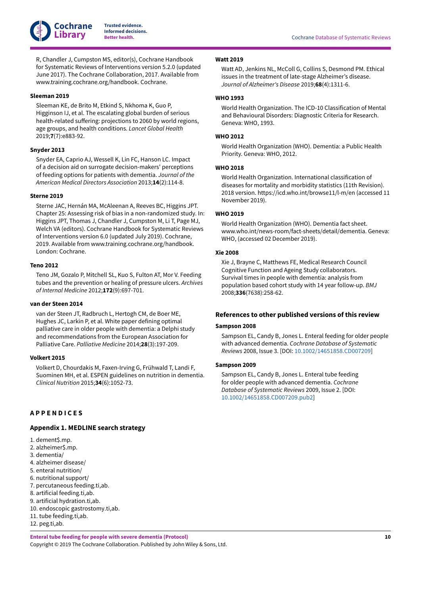

R, Chandler J, Cumpston MS, editor(s), Cochrane Handbook for Systematic Reviews of Interventions version 5.2.0 (updated June 2017). The Cochrane Collaboration, 2017. Available from www.training.cochrane.org/handbook. Cochrane.

#### <span id="page-11-4"></span>**Sleeman 2019**

Sleeman KE, de Brito M, Etkind S, Nkhoma K, Guo P, Higginson IJ, et al. The escalating global burden of serious health-related suffering: projections to 2060 by world regions, age groups, and health conditions. *Lancet Global Health* 2019;**7**(7):e883-92.

#### <span id="page-11-8"></span>**Snyder 2013**

Snyder EA, Caprio AJ, Wessell K, Lin FC, Hanson LC. Impact of a decision aid on surrogate decision-makers' perceptions of feeding options for patients with dementia. *Journal of the American Medical Directors Association* 2013;**14**(2):114-8.

## <span id="page-11-14"></span>**Sterne 2019**

Sterne JAC, Hernán MA, McAleenan A, Reeves BC, Higgins JPT. Chapter 25: Assessing risk of bias in a non-randomized study. In: Higgins JPT, Thomas J, Chandler J, Cumpston M, Li T, Page MJ, Welch VA (editors). Cochrane Handbook for Systematic Reviews of Interventions version 6.0 (updated July 2019). Cochrane, 2019. Available from www.training.cochrane.org/handbook. London: Cochrane.

## <span id="page-11-10"></span>**Teno 2012**

Teno JM, Gozalo P, Mitchell SL, Kuo S, Fulton AT, Mor V. Feeding tubes and the prevention or healing of pressure ulcers. *Archives of Internal Medicine* 2012;**172**(9):697-701.

#### <span id="page-11-11"></span>**van der Steen 2014**

van der Steen JT, Radbruch L, Hertogh CM, de Boer ME, Hughes JC, Larkin P, et al. White paper defining optimal palliative care in older people with dementia: a Delphi study and recommendations from the European Association for Palliative Care. *Palliative Medicine* 2014;**28**(3):197-209.

#### <span id="page-11-6"></span>**Volkert 2015**

Volkert D, Chourdakis M, Faxen-Irving G, Frühwald T, Landi F, Suominen MH, et al. ESPEN guidelines on nutrition in dementia. *Clinical Nutrition* 2015;**34**(6):1052-73.

# <span id="page-11-0"></span>**A P P E N D I C E S**

## <span id="page-11-13"></span>**Appendix 1. MEDLINE search strategy**

- 1. dement\$.mp.
- 2. alzheimer\$.mp.
- 3. dementia/
- 4. alzheimer disease/
- 5. enteral nutrition/
- 6. nutritional support/
- 7. percutaneous feeding.ti,ab.
- 8. artificial feeding.ti,ab.
- 9. artificial hydration.ti,ab.
- 10. endoscopic gastrostomy.ti,ab.
- 11. tube feeding.ti,ab.
- 12. peg.ti,ab.

**Enteral tube feeding for people with severe dementia (Protocol)** Copyright © 2019 The Cochrane Collaboration. Published by John Wiley & Sons, Ltd.

## <span id="page-11-7"></span>**Watt 2019**

Watt AD, Jenkins NL, McColl G, Collins S, Desmond PM. Ethical issues in the treatment of late-stage Alzheimer's disease. *Journal of Alzheimer's Disease* 2019;**68**(4):1311-6.

#### <span id="page-11-12"></span>**WHO 1993**

World Health Organization. The ICD-10 Classification of Mental and Behavioural Disorders: Diagnostic Criteria for Research. Geneva: WHO, 1993.

## <span id="page-11-2"></span>**WHO 2012**

World Health Organization (WHO). Dementia: a Public Health Priority. Geneva: WHO, 2012.

#### <span id="page-11-1"></span>**WHO 2018**

World Health Organization. International classification of diseases for mortality and morbidity statistics (11th Revision). 2018 version. https://icd.who.int/browse11/l-m/en (accessed 11 November 2019).

#### <span id="page-11-5"></span>**WHO 2019**

World Health Organization (WHO). Dementia fact sheet. www.who.int/news-room/fact-sheets/detail/dementia. Geneva: WHO, (accessed 02 December 2019).

#### <span id="page-11-3"></span>**Xie 2008**

Xie J, Brayne C, Matthews FE, Medical Research Council Cognitive Function and Ageing Study collaborators. Survival times in people with dementia: analysis from population based cohort study with 14 year follow-up. *BMJ* 2008;**336**(7638):258-62.

#### **References to other published versions of this review**

#### **Sampson 2008**

Sampson EL, Candy B, Jones L. Enteral feeding for older people with advanced dementia. *Cochrane Database of Systematic Reviews* 2008, Issue 3. [DOI: [10.1002/14651858.CD007209](https://doi.org/10.1002%2F14651858.CD007209)]

#### <span id="page-11-9"></span>**Sampson 2009**

Sampson EL, Candy B, Jones L. Enteral tube feeding for older people with advanced dementia. *Cochrane Database of Systematic Reviews* 2009, Issue 2. [DOI: [10.1002/14651858.CD007209.pub2\]](https://doi.org/10.1002%2F14651858.CD007209.pub2)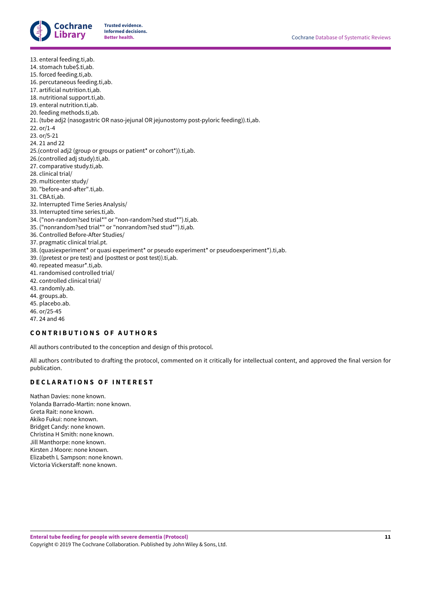

13. enteral feeding.ti,ab. 14. stomach tube\$.ti,ab. 15. forced feeding.ti,ab. 16. percutaneous feeding.ti,ab. 17. artificial nutrition.ti,ab. 18. nutritional support.ti,ab. 19. enteral nutrition.ti,ab. 20. feeding methods.ti,ab. 21. (tube adj2 (nasogastric OR naso-jejunal OR jejunostomy post-pyloric feeding)).ti,ab. 22. or/1-4 23. or/5-21 24. 21 and 22 25.(control adj2 (group or groups or patient\* or cohort\*)).ti,ab. 26.(controlled adj study).ti,ab. 27. comparative study.ti,ab. 28. clinical trial/ 29. multicenter study/ 30. "before-and-after".ti,ab. 31. CBA.ti,ab. 32. Interrupted Time Series Analysis/ 33. Interrupted time series.ti,ab. 34. ("non-random?sed trial\*" or "non-random?sed stud\*").ti,ab. 35. ("nonrandom?sed trial\*" or "nonrandom?sed stud\*").ti,ab. 36. Controlled Before-After Studies/ 37. pragmatic clinical trial.pt. 38. (quasiexperiment\* or quasi experiment\* or pseudo experiment\* or pseudoexperiment\*).ti,ab. 39. ((pretest or pre test) and (posttest or post test)).ti,ab. 40. repeated measur\*.ti,ab. 41. randomised controlled trial/ 42. controlled clinical trial/ 43. randomly.ab. 44. groups.ab. 45. placebo.ab. 46. or/25-45 47. 24 and 46

# <span id="page-12-0"></span>**C O N T R I B U T I O N S O F A U T H O R S**

All authors contributed to the conception and design of this protocol.

All authors contributed to drafting the protocol, commented on it critically for intellectual content, and approved the final version for publication.

# <span id="page-12-1"></span>**D E C L A R A T I O N S O F I N T E R E S T**

Nathan Davies: none known. Yolanda Barrado-Martin: none known. Greta Rait: none known. Akiko Fukui: none known. Bridget Candy: none known. Christina H Smith: none known. Jill Manthorpe: none known. Kirsten J Moore: none known. Elizabeth L Sampson: none known. Victoria Vickerstaff: none known.